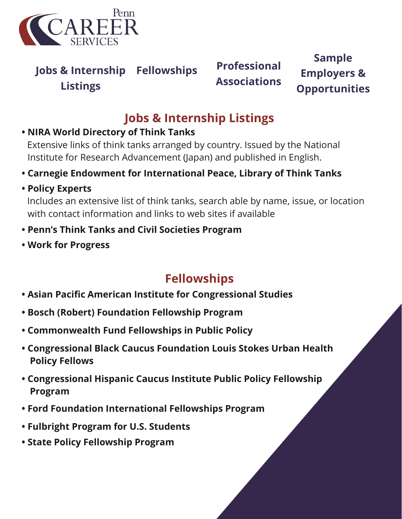

**[Jobs & Internship](https://careerservices.upenn.edu/channels/government-law-public-policy/) [Fellowships](https://careerservices.upenn.edu/channels/government-law-public-policy/) [Professional](https://careerservices.upenn.edu/channels/government-law-public-policy/) Listings**

**Associations**

**Sample Employers & Opportunities**

## **Jobs & Internship Listings**

#### **• [NIRA World Directory of Think Tanks](https://www.nira.or.jp/past/ice/nwdtt/2005/index.html)**

Extensive links of think tanks arranged by country. Issued by the National Institute for Research Advancement (Japan) and published in English.

- **• [Carnegie Endowment for International Peace, Library of Think Tanks](https://carnegieendowment.org/about/)**
- **• [Policy Experts](http://www.policyexperts.org/organizations/organizations.cfm)**

Includes an extensive list of think tanks, search able by name, issue, or location with contact information and links to web sites if available

- **• [Penn's Think Tanks and Civil Societies Program](https://www.gotothinktank.com/)**
- **• [Work for Progress](https://workforprogress.org/job-board/)**

## **Fellowships**

- **• [Asian Pacific American Institute for Congressional Studies](https://apaics.org/programs/fellowship/)**
- **• [Bosch \(Robert\) Foundation Fellowship Program](https://culturalvistas.org/programs/abroad/robert-bosch-foundation-fellowship/)**
- **• [Commonwealth Fund Fellowships in Public Policy](https://www.commonwealthfund.org/grants-fellowships/fellowships)**
- **• [Congressional Black Caucus Foundation Louis Stokes Urban Health](https://www.cbcfinc.org/fellowships/) [Policy Fellows](https://www.cbcfinc.org/fellowships/)**
- **• [Congressional Hispanic Caucus Institute Public Policy](https://chci.org/programs/public-policy-fellowship-program/) [Fellowship](https://chci.org/fellowships/page/support-chcis-public-policy-fellowship-program) [Program](https://chci.org/fellowships/page/support-chcis-public-policy-fellowship-program)**
- **• [Ford Foundation International Fellowships Program](https://www.fordfoundation.org/work/investing-in-individuals/international-fellowships-program/)**
- **• [Fulbright Program for U.S. Students](https://us.fulbrightonline.org/)**
- **• [State Policy Fellowship Program](https://www.cbpp.org/careers/state-policy-fellowship-program)**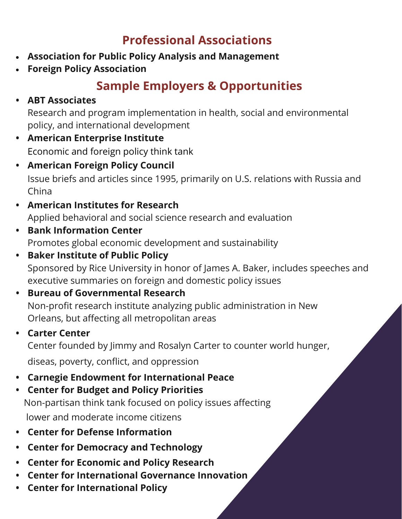#### **Professional Associations**

- **[Association for Public Policy Analysis and Management](http://www.appam.org/)**
- **[Foreign Policy Association](https://www.fpa.org/)**

## **Sample Employers & Opportunities**

#### **• [ABT Associates](https://www.abtassociates.com/)**

Research and program implementation in health, social and environmental policy, and international development

- **• [American Enterprise Institute](http://www.aei.org/)**  Economic and foreign policy think tank
- **• [American Foreign Policy Council](https://www.afpc.org/)** Issue briefs and articles since 1995, primarily on U.S. relations with Russia and China
- **• [American Institutes for Research](https://www.air.org/)** Applied behavioral and social science research and evaluation
- **• [Bank Information Center](https://bankinformationcenter.org/en-us/careers/)** Promotes global economic development and sustainability
- **• [Baker Institute of Public Policy](https://www.bakerinstitute.org/)** Sponsored by Rice University in honor of James A. Baker, includes speeches and executive summaries on foreign and domestic policy issues
- **• [Bureau of Governmental Research](https://www.bgr.org/)** Non-profit research institute analyzing public administration in New Orleans, but affecting all metropolitan areas
- **• [Carter Center](https://www.cartercenter.org/)** Center founded by Jimmy and Rosalyn Carter to counter world hunger, diseas, poverty, conflict, and oppression
- **• [Carnegie Endowment for International Peace](https://carnegieendowment.org/about/employment)**
- **• [Center for Budget and Policy Priorities](https://www.cbpp.org/)** Non-partisan think tank focused on policy issues affecting lower and moderate income citizens
- **• [Center for Defense Information](https://www.pogo.org/center-for-defense-information/)**
- **• [Center for Democracy and Technology](https://cdt.org/careers/)**
- **• [Center for Economic and Policy Research](http://cepr.net/about-us/jobs/internships/)**
- **• [Center for International Governance Innovation](https://www.cigionline.org/careers)**
- **• [Center for International Policy](http://ciponline.org/)**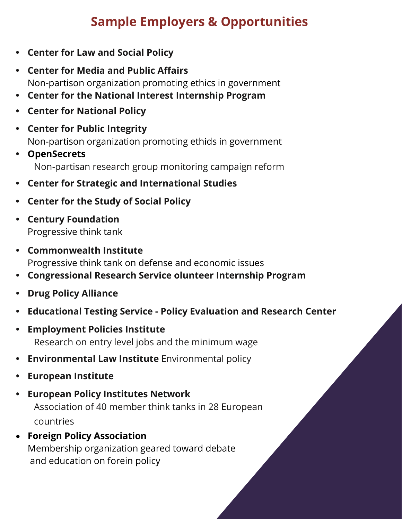- **• [Center for Law and Social Policy](https://www.clasp.org/)**
- **• [Center for Media and Public Affairs](https://cmpa.gmu.edu/)** Non-partison organization promoting ethics in government
- **• [Center for the National Interest Internship Program](https://cftni.org/category/careers/)**
- **• [Center for National Policy](https://www.centerfornationalpolicy.org/)**
- **• [Center for Public Integrity](https://publicintegrity.org/)** Non-partison organization promoting ethids in government
- **• [OpenSecrets](https://www.opensecrets.org/)** Non-partisan research group monitoring campaign reform
- **• [Center for Strategic and International Studies](https://www.csis.org/)**
- **• [Center for the Study of Social Policy](https://cssp.org/)**
- **• [Century Foundation](https://tcf.org/)**  Progressive think tank
- **• [Commonwealth Institute](http://www.comw.org/)** Progressive think tank on defense and economic issues
- **• [Congressional Research Service olunteer Internship Program](https://www.loc.gov/crsinfo/opportunities/volunteer.html)**
- **• [Drug Policy Alliance](http://www.drugpolicy.org/about-us/jobs-and-internships)**
- **• Educational Testing Service - [Policy Evaluation and Research Center](http://www.ets.org/research/perc/)**
- **• [Employment Policies Institute](https://www.epionline.org/)** Research on entry level jobs and the minimum wage
- **• [Environmental Law Institute](https://www.eli.org/employment)** Environmental policy
- **• [European Institute](http://www.europeaninstitute.org/)**
- **• [European Policy Institutes Network](https://epin.org/)** Association of 40 member think tanks in 28 European countries
- **[Foreign Policy Association](https://www.fpa.org/)** Membership organization geared toward debate and education on forein policy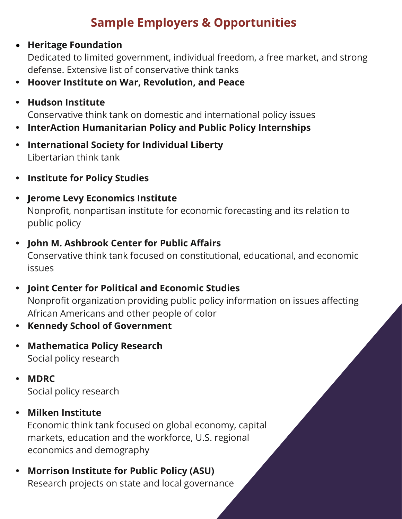#### • **[Heritage Foundation](https://www.heritage.org/)**

Dedicated to limited government, individual freedom, a free market, and strong defense. Extensive list of conservative think tanks

- **• [Hoover Institute on War, Revolution, and Peace](https://www.hoover.org/)**
- **• [Hudson Institute](https://www.hudson.org/)**

Conservative think tank on domestic and international policy issues

- **• [InterAction Humanitarian Policy and Public Policy Internships](https://www.interaction.org/programs/humanitarian-policy-practice/)**
- **• [International Society for Individual Liberty](http://www.isil.org/cgi-sys/suspendedpage.cgi)**  Libertarian think tank
- **• [Institute for Policy Studies](https://ips-dc.org/about/jobs-internships/)**
- **• [Jerome Levy Economics Institute](http://www.levy.org/)** Nonprofit, nonpartisan institute for economic forecasting and its relation to public policy
- **• John [M. Ashbrook Center for Public Affairs](https://www.ashland.edu/administration/office-provost/academic-affairs/ashbrook-center)**

Conservative think tank focused on constitutional, educational, and economic issues

- **• Joint [Center for Political and Economic Studies](https://jointcenter.org/)** Nonprofit organization providing public policy information on issues affecting African Americans and other people of color
- **• [Kennedy School of Government](https://www.hks.harvard.edu/centers-initiatives)**
- **• [Mathematica Policy Research](https://www.mathematica.org/)**  Social policy research
- **• [MDRC](https://chm.tbe.taleo.net/chm01/ats/careers/v2/searchResults?org=MDRC&cws=40)** Social policy research
- **• [Milken Institute](https://www.milkeninstitute.org/)**

Economic think tank focused on global economy, capital markets, education and the workforce, U.S. regional economics and demography

**• [Morrison Institute for Public Policy \(ASU\)](https://morrisoninstitute.asu.edu/)** Research projects on state and local governance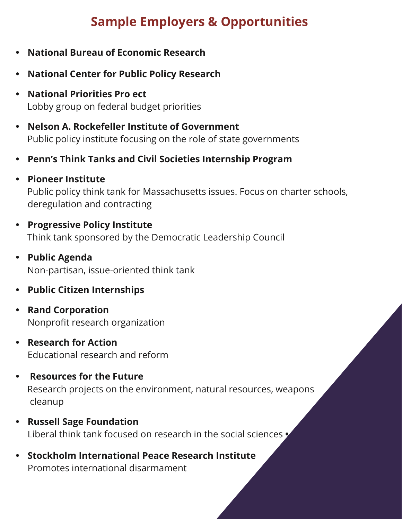- **• [National Bureau of Economic Research](https://www.nber.org/)**
- **• [National Center for Public Policy Research](https://nationalcenter.org/)**
- **• [National Priorities Pro ect](https://www.nationalpriorities.org/)** Lobby group on federal budget priorities
- **• [Nelson A. Rockefeller Institute of Government](https://rockinst.org/)** Public policy institute focusing on the role of state governments
- **• [Penn's Think Tanks and Civil Societies Internship Program](https://www.gotothinktank.com/internships)**
- **• [Pioneer Institute](https://pioneerinstitute.org/)** Public policy think tank for Massachusetts issues. Focus on charter schools, deregulation and contracting
- **• [Progressive Policy Institute](https://www.progressivepolicy.org/)** Think tank sponsored by the Democratic Leadership Council
- **• [Public Agenda](https://www.publicagenda.org/)** Non-partisan, issue-oriented think tank
- **• [Public Citizen Internships](https://www.citizen.org/internships/)**
- **• [Rand Corporation](https://www.rand.org/)** Nonprofit research organization
- **• [Research for Action](http://www.researchforaction.org/)** Educational research and reform
- **• [Resources for the Future](https://www.rff.org/)** Research projects on the environment, natural resources, weapons cleanup
- **• [Russell Sage Foundation](http://www.russellsage.org/)** Liberal think tank focused on research in the social sciences **•**
- **• [Stockholm International Peace Research Institute](https://www.sipri.org/)**  Promotes international disarmament